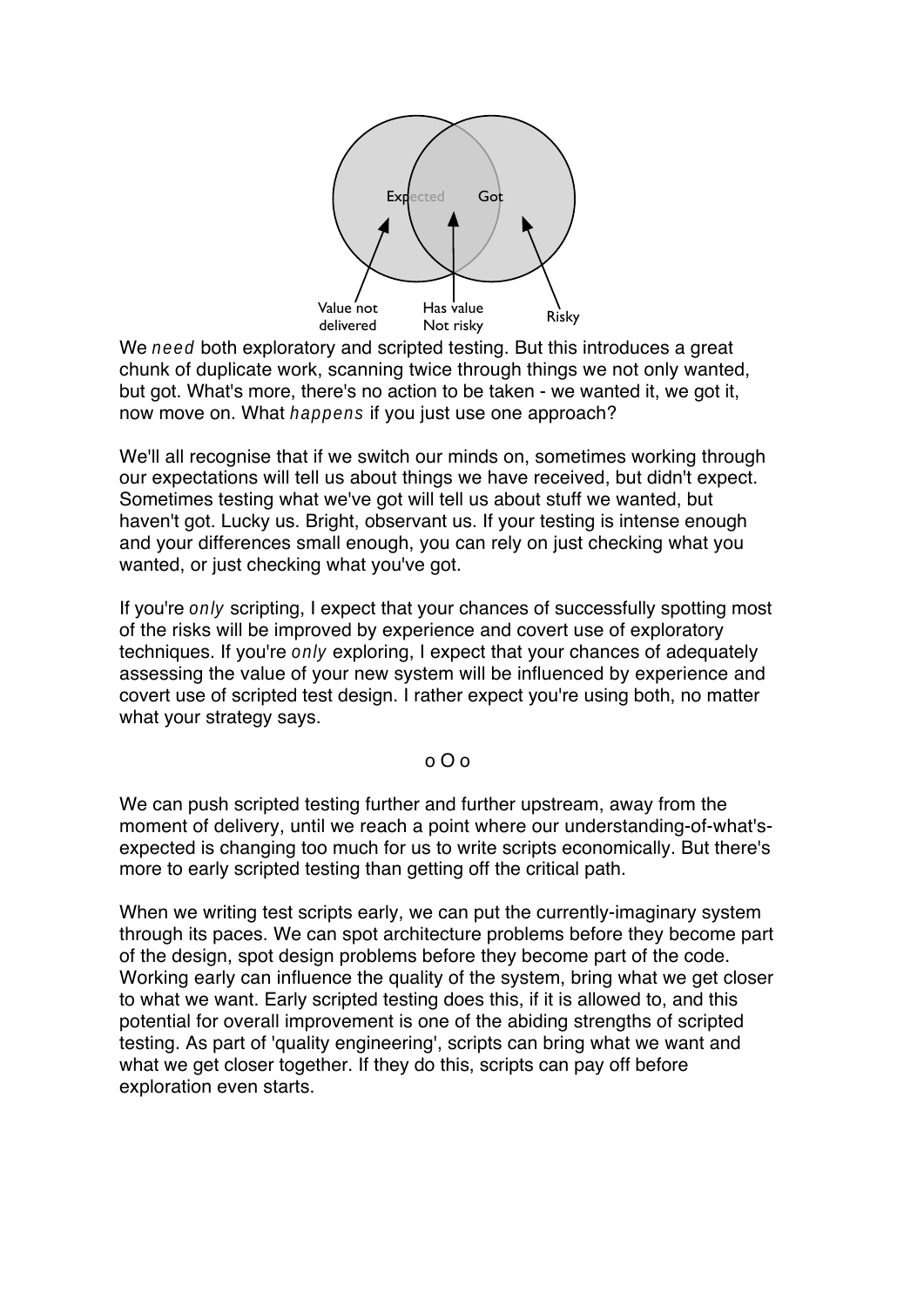

We need both exploratory and scripted testing. But this introduces a great chunk of duplicate work, scanning twice through things we not only wanted, but got. What's more, there's no action to be taken - we wanted it, we got it, now move on. What happens if you just use one approach?

We'll all recognise that if we switch our minds on, sometimes working through our expectations will tell us about things we have received, but didn't expect. Sometimes testing what we've got will tell us about stuff we wanted, but haven't got. Lucky us. Bright, observant us. If your testing is intense enough and your differences small enough, you can rely on just checking what you wanted, or just checking what you've got.

If you're only scripting, I expect that your chances of successfully spotting most of the risks will be improved by experience and covert use of exploratory techniques. If you're only exploring, I expect that your chances of adequately assessing the value of your new system will be influenced by experience and covert use of scripted test design. I rather expect you're using both, no matter what your strategy says.

## o O o

We can push scripted testing further and further upstream, away from the moment of delivery, until we reach a point where our understanding-of-what'sexpected is changing too much for us to write scripts economically. But there's more to early scripted testing than getting off the critical path.

When we writing test scripts early, we can put the currently-imaginary system through its paces. We can spot architecture problems before they become part of the design, spot design problems before they become part of the code. Working early can influence the quality of the system, bring what we get closer to what we want. Early scripted testing does this, if it is allowed to, and this potential for overall improvement is one of the abiding strengths of scripted testing. As part of 'quality engineering', scripts can bring what we want and what we get closer together. If they do this, scripts can pay off before exploration even starts.